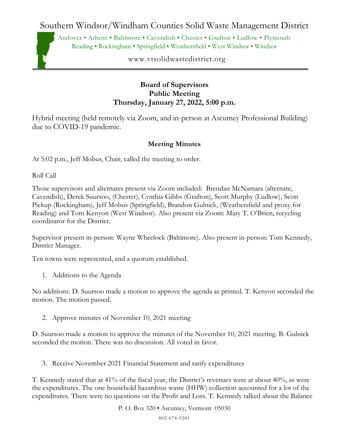Southern Windsor/Windham Counties Solid Waste Management District

Andover • Athens • Baltimore • Cavendish • Chester • Grafton • Ludlow • Plymouth Reading • Rockingham • Springfield • Weathersfield • West Windsor • Windsor

www.vtsolidwastedistrict.org

## **Board of Supervisors Public Meeting Thursday, January 27, 2022, 5:00 p.m.**

Hybrid meeting (held remotely via Zoom, and in-person at Ascutney Professional Building) due to COVID-19 pandemic.

## **Meeting Minutes**

At 5:02 p.m., Jeff Mobus, Chair, called the meeting to order.

Roll Call

Those supervisors and alternates present via Zoom included: Brendan McNamara (alternate, Cavendish), Derek Suursoo, (Chester), Cynthia Gibbs (Grafton), Scott Murphy (Ludlow), Scott Pickup (Rockingham), Jeff Mobus (Springfield), Brandon Gulnick, (Weathersfield and proxy for Reading) and Tom Kenyon (West Windsor). Also present via Zoom: Mary T. O'Brien, recycling coordinator for the District.

Supervisor present in-person: Wayne Wheelock (Baltimore). Also present in-person: Tom Kennedy, District Manager.

Ten towns were represented, and a quorum established.

1. Additions to the Agenda

No additions. D. Suursoo made a motion to approve the agenda as printed. T. Kenyon seconded the motion. The motion passed.

2. Approve minutes of November 10, 2021 meeting

D. Suursoo made a motion to approve the minutes of the November 10, 2021 meeting. B. Gulnick seconded the motion. There was no discussion. All voted in favor.

3. Receive November 2021 Financial Statement and ratify expenditures

T. Kennedy stated that at 41% of the fiscal year, the District's revenues were at about 40%, as were the expenditures. The one household hazardous waste (HHW) collection accounted for a lot of the expenditures. There were no questions on the Profit and Loss. T. Kennedy talked about the Balance

P. O. Box 320 • Ascutney, Vermont 05030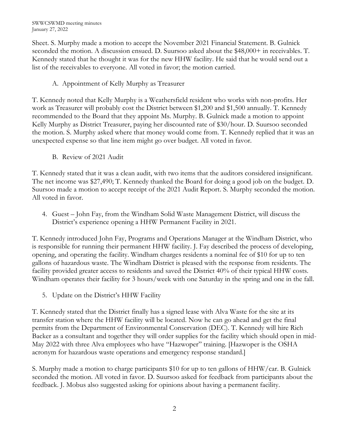Sheet. S. Murphy made a motion to accept the November 2021 Financial Statement. B. Gulnick seconded the motion. A discussion ensued. D. Suursoo asked about the \$48,000+ in receivables. T. Kennedy stated that he thought it was for the new HHW facility. He said that he would send out a list of the receivables to everyone. All voted in favor; the motion carried.

## A. Appointment of Kelly Murphy as Treasurer

T. Kennedy noted that Kelly Murphy is a Weathersfield resident who works with non-profits. Her work as Treasurer will probably cost the District between \$1,200 and \$1,500 annually. T. Kennedy recommended to the Board that they appoint Ms. Murphy. B. Gulnick made a motion to appoint Kelly Murphy as District Treasurer, paying her discounted rate of \$30/hour. D. Suursoo seconded the motion. S. Murphy asked where that money would come from. T. Kennedy replied that it was an unexpected expense so that line item might go over budget. All voted in favor.

B. Review of 2021 Audit

T. Kennedy stated that it was a clean audit, with two items that the auditors considered insignificant. The net income was \$27,490; T. Kennedy thanked the Board for doing a good job on the budget. D. Suursoo made a motion to accept receipt of the 2021 Audit Report. S. Murphy seconded the motion. All voted in favor.

4. Guest – John Fay, from the Windham Solid Waste Management District, will discuss the District's experience opening a HHW Permanent Facility in 2021.

T. Kennedy introduced John Fay, Programs and Operations Manager at the Windham District, who is responsible for running their permanent HHW facility. J. Fay described the process of developing, opening, and operating the facility. Windham charges residents a nominal fee of \$10 for up to ten gallons of hazardous waste. The Windham District is pleased with the response from residents. The facility provided greater access to residents and saved the District 40% of their typical HHW costs. Windham operates their facility for 3 hours/week with one Saturday in the spring and one in the fall.

5. Update on the District's HHW Facility

T. Kennedy stated that the District finally has a signed lease with Alva Waste for the site at its transfer station where the HHW facility will be located. Now he can go ahead and get the final permits from the Department of Environmental Conservation (DEC). T. Kennedy will hire Rich Backer as a consultant and together they will order supplies for the facility which should open in mid-May 2022 with three Alva employees who have "Hazwoper" training. [Hazwoper is the OSHA acronym for hazardous waste operations and emergency response standard.]

S. Murphy made a motion to charge participants \$10 for up to ten gallons of HHW/car. B. Gulnick seconded the motion. All voted in favor. D. Suursoo asked for feedback from participants about the feedback. J. Mobus also suggested asking for opinions about having a permanent facility.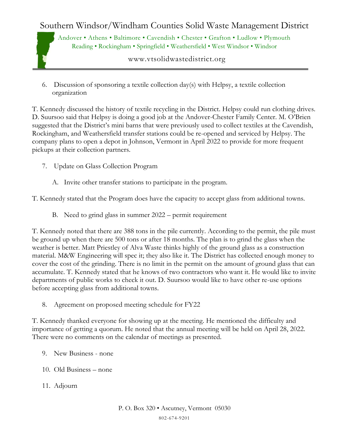## Southern Windsor/Windham Counties Solid Waste Management District

Andover • Athens • Baltimore • Cavendish • Chester • Grafton • Ludlow • Plymouth Reading • Rockingham • Springfield • Weathersfield • West Windsor • Windsor

www.vtsolidwastedistrict.org

6. Discussion of sponsoring a textile collection day(s) with Helpsy, a textile collection organization

T. Kennedy discussed the history of textile recycling in the District. Helpsy could run clothing drives. D. Suursoo said that Helpsy is doing a good job at the Andover-Chester Family Center. M. O'Brien suggested that the District's mini barns that were previously used to collect textiles at the Cavendish, Rockingham, and Weathersfield transfer stations could be re-opened and serviced by Helpsy. The company plans to open a depot in Johnson, Vermont in April 2022 to provide for more frequent pickups at their collection partners.

- 7. Update on Glass Collection Program
	- A. Invite other transfer stations to participate in the program.

T. Kennedy stated that the Program does have the capacity to accept glass from additional towns.

B. Need to grind glass in summer 2022 – permit requirement

T. Kennedy noted that there are 388 tons in the pile currently. According to the permit, the pile must be ground up when there are 500 tons or after 18 months. The plan is to grind the glass when the weather is better. Matt Priestley of Alva Waste thinks highly of the ground glass as a construction material. M&W Engineering will spec it; they also like it. The District has collected enough money to cover the cost of the grinding. There is no limit in the permit on the amount of ground glass that can accumulate. T. Kennedy stated that he knows of two contractors who want it. He would like to invite departments of public works to check it out. D. Suursoo would like to have other re-use options before accepting glass from additional towns.

8. Agreement on proposed meeting schedule for FY22

T. Kennedy thanked everyone for showing up at the meeting. He mentioned the difficulty and importance of getting a quorum. He noted that the annual meeting will be held on April 28, 2022. There were no comments on the calendar of meetings as presented.

- 9. New Business none
- 10. Old Business none
- 11. Adjourn